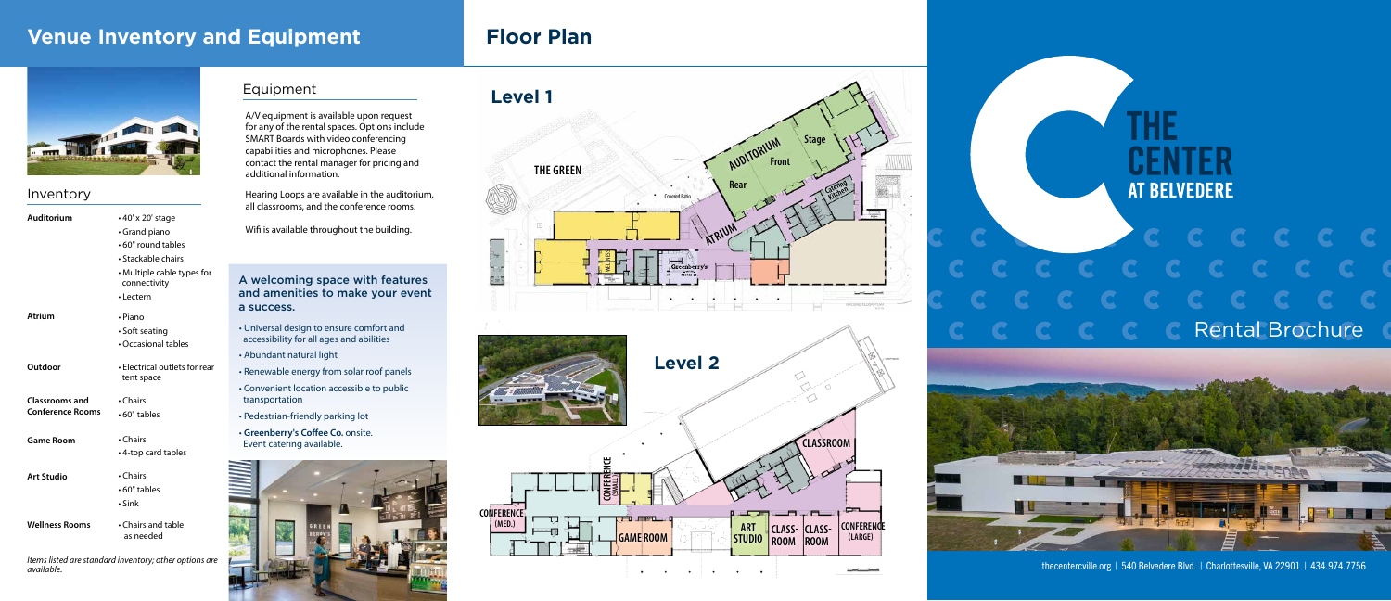A/V equipment is available upon request for any of the rental spaces. Options include SMART Boards with video conferencing capabilities and microphones. Please contact the rental manager for pricing and additional information.

Hearing Loops are available in the auditorium, all classrooms, and the conference rooms.

Wifi is available throughout the building.

| <b>Auditorium</b>       | • 40' x 20' stage                           |  |  |
|-------------------------|---------------------------------------------|--|--|
|                         | • Grand piano                               |  |  |
|                         | • 60" round tables                          |  |  |
|                         | • Stackable chairs                          |  |  |
|                         | • Multiple cable types for<br>connectivity  |  |  |
|                         | • Lectern                                   |  |  |
| <b>Atrium</b>           | • Piano                                     |  |  |
|                         | • Soft seating                              |  |  |
|                         | • Occasional tables                         |  |  |
| Outdoor                 | • Electrical outlets for rear<br>tent space |  |  |
| <b>Classrooms and</b>   | • Chairs                                    |  |  |
| <b>Conference Rooms</b> | • 60" tables                                |  |  |
| <b>Game Room</b>        | • Chairs                                    |  |  |
|                         | • 4-top card tables                         |  |  |
| <b>Art Studio</b>       | • Chairs                                    |  |  |
|                         | $\cdot$ 60" tables                          |  |  |
|                         | $\cdot$ Sink                                |  |  |
| <b>Wellness Rooms</b>   | • Chairs and table<br>as needed             |  |  |

# **THE AT BELVEDERE** Rental Brochure

# **Venue Inventory and Equipment Floor Plan**



# Inventory

- Universal design to ensure comfort and accessibility for all ages and abilities
- Abundant natural light
- Renewable energy from solar roof panels
- Convenient location accessible to public transportation
- Pedestrian-friendly parking lot
- **Greenberry's Coffee Co.** onsite. Event catering available.



# A welcoming space with features and amenities to make your event a success.

# Equipment







*Items listed are standard inventory; other options are available.*